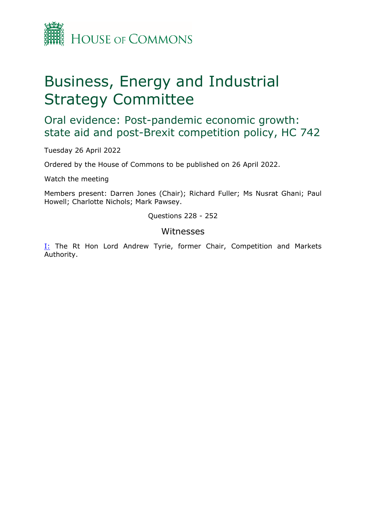

## Business, Energy and Industrial Strategy Committee

Oral evidence: Post-pandemic economic growth: state aid and post-Brexit competition policy, HC 742

Tuesday 26 April 2022

Ordered by the House of Commons to be published on 26 April 2022.

Watch the meeting

Members present: Darren Jones (Chair); Richard Fuller; Ms Nusrat Ghani; Paul Howell; Charlotte Nichols; Mark Pawsey.

Questions 228 - 252

## Witnesses

[I:](#page-1-0) The Rt Hon Lord Andrew Tyrie, former Chair, Competition and Markets Authority.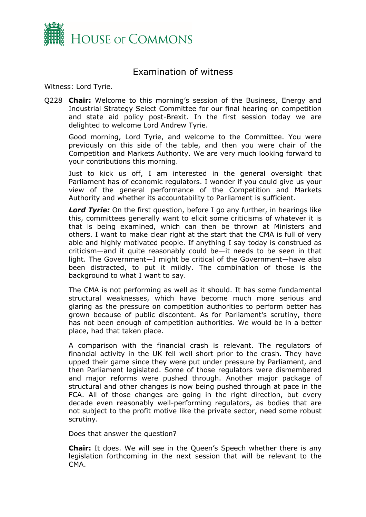

## <span id="page-1-0"></span>Examination of witness

Witness: Lord Tyrie.

Q228 **Chair:** Welcome to this morning's session of the Business, Energy and Industrial Strategy Select Committee for our final hearing on competition and state aid policy post-Brexit. In the first session today we are delighted to welcome Lord Andrew Tyrie.

Good morning, Lord Tyrie, and welcome to the Committee. You were previously on this side of the table, and then you were chair of the Competition and Markets Authority. We are very much looking forward to your contributions this morning.

Just to kick us off, I am interested in the general oversight that Parliament has of economic regulators. I wonder if you could give us your view of the general performance of the Competition and Markets Authority and whether its accountability to Parliament is sufficient.

**Lord Tyrie:** On the first question, before I go any further, in hearings like this, committees generally want to elicit some criticisms of whatever it is that is being examined, which can then be thrown at Ministers and others. I want to make clear right at the start that the CMA is full of very able and highly motivated people. If anything I say today is construed as criticism—and it quite reasonably could be—it needs to be seen in that light. The Government—I might be critical of the Government—have also been distracted, to put it mildly. The combination of those is the background to what I want to say.

The CMA is not performing as well as it should. It has some fundamental structural weaknesses, which have become much more serious and glaring as the pressure on competition authorities to perform better has grown because of public discontent. As for Parliament's scrutiny, there has not been enough of competition authorities. We would be in a better place, had that taken place.

A comparison with the financial crash is relevant. The regulators of financial activity in the UK fell well short prior to the crash. They have upped their game since they were put under pressure by Parliament, and then Parliament legislated. Some of those regulators were dismembered and major reforms were pushed through. Another major package of structural and other changes is now being pushed through at pace in the FCA. All of those changes are going in the right direction, but every decade even reasonably well-performing regulators, as bodies that are not subject to the profit motive like the private sector, need some robust scrutiny.

Does that answer the question?

**Chair:** It does. We will see in the Queen's Speech whether there is any legislation forthcoming in the next session that will be relevant to the CMA.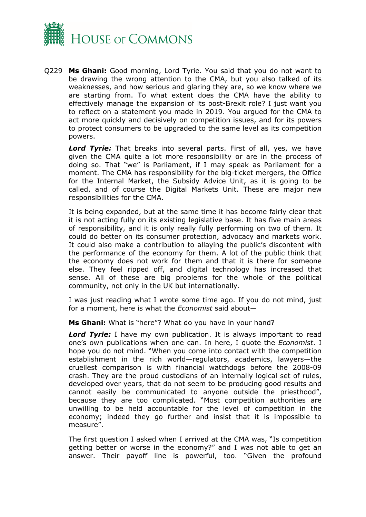

Q229 **Ms Ghani:** Good morning, Lord Tyrie. You said that you do not want to be drawing the wrong attention to the CMA, but you also talked of its weaknesses, and how serious and glaring they are, so we know where we are starting from. To what extent does the CMA have the ability to effectively manage the expansion of its post-Brexit role? I just want you to reflect on a statement you made in 2019. You argued for the CMA to act more quickly and decisively on competition issues, and for its powers to protect consumers to be upgraded to the same level as its competition powers.

*Lord Tyrie:* That breaks into several parts. First of all, yes, we have given the CMA quite a lot more responsibility or are in the process of doing so. That "we" is Parliament, if I may speak as Parliament for a moment. The CMA has responsibility for the big-ticket mergers, the Office for the Internal Market, the Subsidy Advice Unit, as it is going to be called, and of course the Digital Markets Unit. These are major new responsibilities for the CMA.

It is being expanded, but at the same time it has become fairly clear that it is not acting fully on its existing legislative base. It has five main areas of responsibility, and it is only really fully performing on two of them. It could do better on its consumer protection, advocacy and markets work. It could also make a contribution to allaying the public's discontent with the performance of the economy for them. A lot of the public think that the economy does not work for them and that it is there for someone else. They feel ripped off, and digital technology has increased that sense. All of these are big problems for the whole of the political community, not only in the UK but internationally.

I was just reading what I wrote some time ago. If you do not mind, just for a moment, here is what the *Economist* said about—

**Ms Ghani:** What is "here"? What do you have in your hand?

**Lord Tyrie:** I have my own publication. It is always important to read one's own publications when one can. In here, I quote the *Economist*. I hope you do not mind. "When you come into contact with the competition establishment in the rich world—regulators, academics, lawyers—the cruellest comparison is with financial watchdogs before the 2008-09 crash. They are the proud custodians of an internally logical set of rules, developed over years, that do not seem to be producing good results and cannot easily be communicated to anyone outside the priesthood", because they are too complicated. "Most competition authorities are unwilling to be held accountable for the level of competition in the economy; indeed they go further and insist that it is impossible to measure".

The first question I asked when I arrived at the CMA was, "Is competition getting better or worse in the economy?" and I was not able to get an answer. Their payoff line is powerful, too. "Given the profound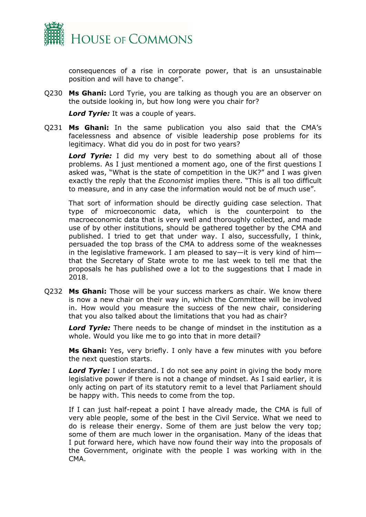

consequences of a rise in corporate power, that is an unsustainable position and will have to change".

Q230 **Ms Ghani:** Lord Tyrie, you are talking as though you are an observer on the outside looking in, but how long were you chair for?

*Lord Tyrie:* It was a couple of years.

Q231 **Ms Ghani:** In the same publication you also said that the CMA's facelessness and absence of visible leadership pose problems for its legitimacy. What did you do in post for two years?

**Lord Tyrie:** I did my very best to do something about all of those problems. As I just mentioned a moment ago, one of the first questions I asked was, "What is the state of competition in the UK?" and I was given exactly the reply that the *Economist* implies there. "This is all too difficult to measure, and in any case the information would not be of much use".

That sort of information should be directly guiding case selection. That type of microeconomic data, which is the counterpoint to the macroeconomic data that is very well and thoroughly collected, and made use of by other institutions, should be gathered together by the CMA and published. I tried to get that under way. I also, successfully, I think, persuaded the top brass of the CMA to address some of the weaknesses in the legislative framework. I am pleased to say—it is very kind of him that the Secretary of State wrote to me last week to tell me that the proposals he has published owe a lot to the suggestions that I made in 2018.

Q232 **Ms Ghani:** Those will be your success markers as chair. We know there is now a new chair on their way in, which the Committee will be involved in. How would you measure the success of the new chair, considering that you also talked about the limitations that you had as chair?

*Lord Tyrie:* There needs to be change of mindset in the institution as a whole. Would you like me to go into that in more detail?

**Ms Ghani:** Yes, very briefly. I only have a few minutes with you before the next question starts.

*Lord Tyrie:* I understand. I do not see any point in giving the body more legislative power if there is not a change of mindset. As I said earlier, it is only acting on part of its statutory remit to a level that Parliament should be happy with. This needs to come from the top.

If I can just half-repeat a point I have already made, the CMA is full of very able people, some of the best in the Civil Service. What we need to do is release their energy. Some of them are just below the very top; some of them are much lower in the organisation. Many of the ideas that I put forward here, which have now found their way into the proposals of the Government, originate with the people I was working with in the CMA.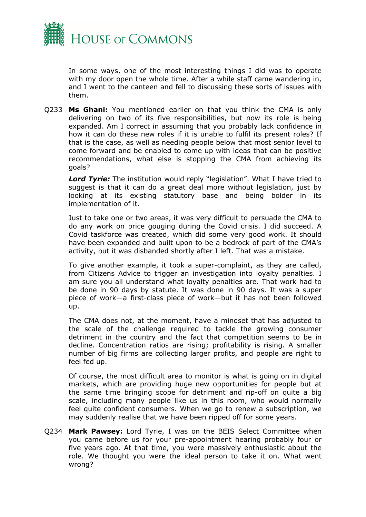

In some ways, one of the most interesting things I did was to operate with my door open the whole time. After a while staff came wandering in, and I went to the canteen and fell to discussing these sorts of issues with them.

Q233 **Ms Ghani:** You mentioned earlier on that you think the CMA is only delivering on two of its five responsibilities, but now its role is being expanded. Am I correct in assuming that you probably lack confidence in how it can do these new roles if it is unable to fulfil its present roles? If that is the case, as well as needing people below that most senior level to come forward and be enabled to come up with ideas that can be positive recommendations, what else is stopping the CMA from achieving its goals?

**Lord Tyrie:** The institution would reply "legislation". What I have tried to suggest is that it can do a great deal more without legislation, just by looking at its existing statutory base and being bolder in its implementation of it.

Just to take one or two areas, it was very difficult to persuade the CMA to do any work on price gouging during the Covid crisis. I did succeed. A Covid taskforce was created, which did some very good work. It should have been expanded and built upon to be a bedrock of part of the CMA's activity, but it was disbanded shortly after I left. That was a mistake.

To give another example, it took a super-complaint, as they are called, from Citizens Advice to trigger an investigation into loyalty penalties. I am sure you all understand what loyalty penalties are. That work had to be done in 90 days by statute. It was done in 90 days. It was a super piece of work—a first-class piece of work—but it has not been followed up.

The CMA does not, at the moment, have a mindset that has adjusted to the scale of the challenge required to tackle the growing consumer detriment in the country and the fact that competition seems to be in decline. Concentration ratios are rising; profitability is rising. A smaller number of big firms are collecting larger profits, and people are right to feel fed up.

Of course, the most difficult area to monitor is what is going on in digital markets, which are providing huge new opportunities for people but at the same time bringing scope for detriment and rip-off on quite a big scale, including many people like us in this room, who would normally feel quite confident consumers. When we go to renew a subscription, we may suddenly realise that we have been ripped off for some years.

Q234 **Mark Pawsey:** Lord Tyrie, I was on the BEIS Select Committee when you came before us for your pre-appointment hearing probably four or five years ago. At that time, you were massively enthusiastic about the role. We thought you were the ideal person to take it on. What went wrong?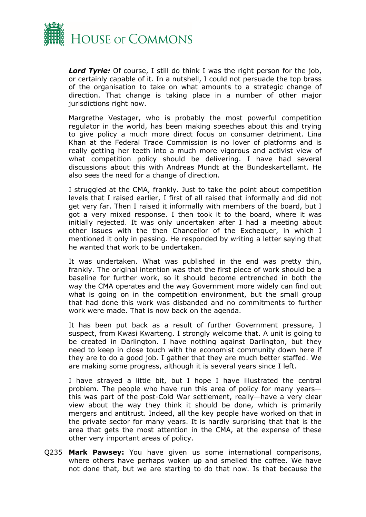

*Lord Tyrie:* Of course, I still do think I was the right person for the job, or certainly capable of it. In a nutshell, I could not persuade the top brass of the organisation to take on what amounts to a strategic change of direction. That change is taking place in a number of other major jurisdictions right now.

Margrethe Vestager, who is probably the most powerful competition regulator in the world, has been making speeches about this and trying to give policy a much more direct focus on consumer detriment. Lina Khan at the Federal Trade Commission is no lover of platforms and is really getting her teeth into a much more vigorous and activist view of what competition policy should be delivering. I have had several discussions about this with Andreas Mundt at the Bundeskartellamt. He also sees the need for a change of direction.

I struggled at the CMA, frankly. Just to take the point about competition levels that I raised earlier, I first of all raised that informally and did not get very far. Then I raised it informally with members of the board, but I got a very mixed response. I then took it to the board, where it was initially rejected. It was only undertaken after I had a meeting about other issues with the then Chancellor of the Exchequer, in which I mentioned it only in passing. He responded by writing a letter saying that he wanted that work to be undertaken.

It was undertaken. What was published in the end was pretty thin, frankly. The original intention was that the first piece of work should be a baseline for further work, so it should become entrenched in both the way the CMA operates and the way Government more widely can find out what is going on in the competition environment, but the small group that had done this work was disbanded and no commitments to further work were made. That is now back on the agenda.

It has been put back as a result of further Government pressure, I suspect, from Kwasi Kwarteng. I strongly welcome that. A unit is going to be created in Darlington. I have nothing against Darlington, but they need to keep in close touch with the economist community down here if they are to do a good job. I gather that they are much better staffed. We are making some progress, although it is several years since I left.

I have strayed a little bit, but I hope I have illustrated the central problem. The people who have run this area of policy for many years this was part of the post-Cold War settlement, really—have a very clear view about the way they think it should be done, which is primarily mergers and antitrust. Indeed, all the key people have worked on that in the private sector for many years. It is hardly surprising that that is the area that gets the most attention in the CMA, at the expense of these other very important areas of policy.

Q235 **Mark Pawsey:** You have given us some international comparisons, where others have perhaps woken up and smelled the coffee. We have not done that, but we are starting to do that now. Is that because the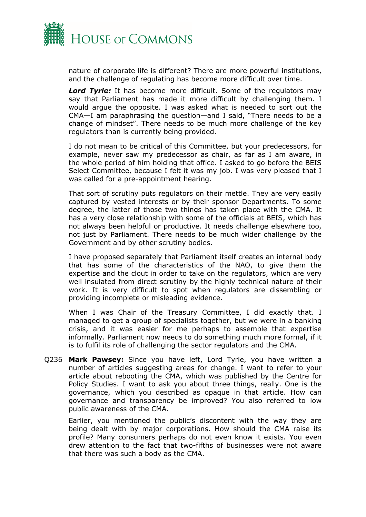

nature of corporate life is different? There are more powerful institutions, and the challenge of regulating has become more difficult over time.

*Lord Tyrie:* It has become more difficult. Some of the regulators may say that Parliament has made it more difficult by challenging them. I would argue the opposite. I was asked what is needed to sort out the CMA—I am paraphrasing the question—and I said, "There needs to be a change of mindset". There needs to be much more challenge of the key regulators than is currently being provided.

I do not mean to be critical of this Committee, but your predecessors, for example, never saw my predecessor as chair, as far as I am aware, in the whole period of him holding that office. I asked to go before the BEIS Select Committee, because I felt it was my job. I was very pleased that I was called for a pre-appointment hearing.

That sort of scrutiny puts regulators on their mettle. They are very easily captured by vested interests or by their sponsor Departments. To some degree, the latter of those two things has taken place with the CMA. It has a very close relationship with some of the officials at BEIS, which has not always been helpful or productive. It needs challenge elsewhere too, not just by Parliament. There needs to be much wider challenge by the Government and by other scrutiny bodies.

I have proposed separately that Parliament itself creates an internal body that has some of the characteristics of the NAO, to give them the expertise and the clout in order to take on the regulators, which are very well insulated from direct scrutiny by the highly technical nature of their work. It is very difficult to spot when regulators are dissembling or providing incomplete or misleading evidence.

When I was Chair of the Treasury Committee, I did exactly that. I managed to get a group of specialists together, but we were in a banking crisis, and it was easier for me perhaps to assemble that expertise informally. Parliament now needs to do something much more formal, if it is to fulfil its role of challenging the sector regulators and the CMA.

Q236 **Mark Pawsey:** Since you have left, Lord Tyrie, you have written a number of articles suggesting areas for change. I want to refer to your article about rebooting the CMA, which was published by the Centre for Policy Studies. I want to ask you about three things, really. One is the governance, which you described as opaque in that article. How can governance and transparency be improved? You also referred to low public awareness of the CMA.

Earlier, you mentioned the public's discontent with the way they are being dealt with by major corporations. How should the CMA raise its profile? Many consumers perhaps do not even know it exists. You even drew attention to the fact that two-fifths of businesses were not aware that there was such a body as the CMA.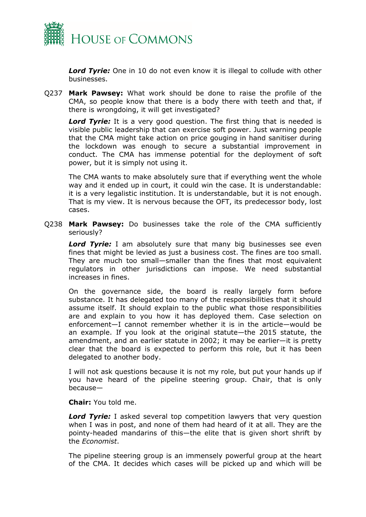

*Lord Tyrie:* One in 10 do not even know it is illegal to collude with other businesses.

Q237 **Mark Pawsey:** What work should be done to raise the profile of the CMA, so people know that there is a body there with teeth and that, if there is wrongdoing, it will get investigated?

*Lord Tyrie:* It is a very good question. The first thing that is needed is visible public leadership that can exercise soft power. Just warning people that the CMA might take action on price gouging in hand sanitiser during the lockdown was enough to secure a substantial improvement in conduct. The CMA has immense potential for the deployment of soft power, but it is simply not using it.

The CMA wants to make absolutely sure that if everything went the whole way and it ended up in court, it could win the case. It is understandable: it is a very legalistic institution. It is understandable, but it is not enough. That is my view. It is nervous because the OFT, its predecessor body, lost cases.

Q238 **Mark Pawsey:** Do businesses take the role of the CMA sufficiently seriously?

*Lord Tyrie:* I am absolutely sure that many big businesses see even fines that might be levied as just a business cost. The fines are too small. They are much too small—smaller than the fines that most equivalent regulators in other jurisdictions can impose. We need substantial increases in fines.

On the governance side, the board is really largely form before substance. It has delegated too many of the responsibilities that it should assume itself. It should explain to the public what those responsibilities are and explain to you how it has deployed them. Case selection on enforcement—I cannot remember whether it is in the article—would be an example. If you look at the original statute—the 2015 statute, the amendment, and an earlier statute in 2002; it may be earlier—it is pretty clear that the board is expected to perform this role, but it has been delegated to another body.

I will not ask questions because it is not my role, but put your hands up if you have heard of the pipeline steering group. Chair, that is only because—

**Chair:** You told me.

*Lord Tyrie:* I asked several top competition lawyers that very question when I was in post, and none of them had heard of it at all. They are the pointy-headed mandarins of this—the elite that is given short shrift by the *Economist*.

The pipeline steering group is an immensely powerful group at the heart of the CMA. It decides which cases will be picked up and which will be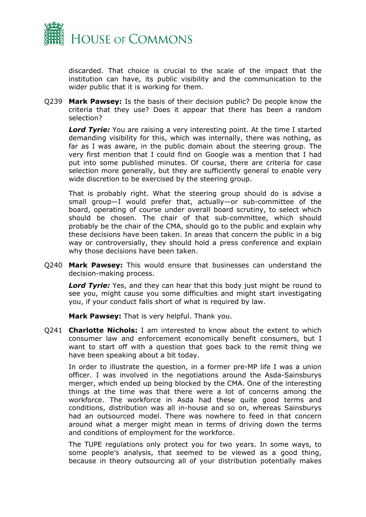

discarded. That choice is crucial to the scale of the impact that the institution can have, its public visibility and the communication to the wider public that it is working for them.

Q239 **Mark Pawsey:** Is the basis of their decision public? Do people know the criteria that they use? Does it appear that there has been a random selection?

**Lord Tyrie:** You are raising a very interesting point. At the time I started demanding visibility for this, which was internally, there was nothing, as far as I was aware, in the public domain about the steering group. The very first mention that I could find on Google was a mention that I had put into some published minutes. Of course, there are criteria for case selection more generally, but they are sufficiently general to enable very wide discretion to be exercised by the steering group.

That is probably right. What the steering group should do is advise a small group—I would prefer that, actually—or sub-committee of the board, operating of course under overall board scrutiny, to select which should be chosen. The chair of that sub-committee, which should probably be the chair of the CMA, should go to the public and explain why these decisions have been taken. In areas that concern the public in a big way or controversially, they should hold a press conference and explain why those decisions have been taken.

Q240 **Mark Pawsey:** This would ensure that businesses can understand the decision-making process.

*Lord Tyrie:* Yes, and they can hear that this body just might be round to see you, might cause you some difficulties and might start investigating you, if your conduct falls short of what is required by law.

**Mark Pawsey:** That is very helpful. Thank you.

Q241 **Charlotte Nichols:** I am interested to know about the extent to which consumer law and enforcement economically benefit consumers, but I want to start off with a question that goes back to the remit thing we have been speaking about a bit today.

In order to illustrate the question, in a former pre-MP life I was a union officer. I was involved in the negotiations around the Asda-Sainsburys merger, which ended up being blocked by the CMA. One of the interesting things at the time was that there were a lot of concerns among the workforce. The workforce in Asda had these quite good terms and conditions, distribution was all in-house and so on, whereas Sainsburys had an outsourced model. There was nowhere to feed in that concern around what a merger might mean in terms of driving down the terms and conditions of employment for the workforce.

The TUPE regulations only protect you for two years. In some ways, to some people's analysis, that seemed to be viewed as a good thing, because in theory outsourcing all of your distribution potentially makes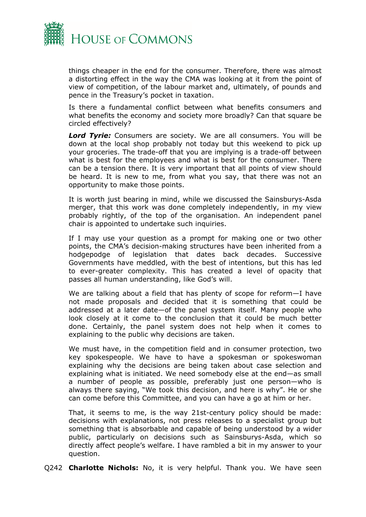

things cheaper in the end for the consumer. Therefore, there was almost a distorting effect in the way the CMA was looking at it from the point of view of competition, of the labour market and, ultimately, of pounds and pence in the Treasury's pocket in taxation.

Is there a fundamental conflict between what benefits consumers and what benefits the economy and society more broadly? Can that square be circled effectively?

*Lord Tyrie:* Consumers are society. We are all consumers. You will be down at the local shop probably not today but this weekend to pick up your groceries. The trade-off that you are implying is a trade-off between what is best for the employees and what is best for the consumer. There can be a tension there. It is very important that all points of view should be heard. It is new to me, from what you say, that there was not an opportunity to make those points.

It is worth just bearing in mind, while we discussed the Sainsburys-Asda merger, that this work was done completely independently, in my view probably rightly, of the top of the organisation. An independent panel chair is appointed to undertake such inquiries.

If I may use your question as a prompt for making one or two other points, the CMA's decision-making structures have been inherited from a hodgepodge of legislation that dates back decades. Successive Governments have meddled, with the best of intentions, but this has led to ever-greater complexity. This has created a level of opacity that passes all human understanding, like God's will.

We are talking about a field that has plenty of scope for reform—I have not made proposals and decided that it is something that could be addressed at a later date—of the panel system itself. Many people who look closely at it come to the conclusion that it could be much better done. Certainly, the panel system does not help when it comes to explaining to the public why decisions are taken.

We must have, in the competition field and in consumer protection, two key spokespeople. We have to have a spokesman or spokeswoman explaining why the decisions are being taken about case selection and explaining what is initiated. We need somebody else at the end—as small a number of people as possible, preferably just one person—who is always there saying, "We took this decision, and here is why". He or she can come before this Committee, and you can have a go at him or her.

That, it seems to me, is the way 21st-century policy should be made: decisions with explanations, not press releases to a specialist group but something that is absorbable and capable of being understood by a wider public, particularly on decisions such as Sainsburys-Asda, which so directly affect people's welfare. I have rambled a bit in my answer to your question.

Q242 **Charlotte Nichols:** No, it is very helpful. Thank you. We have seen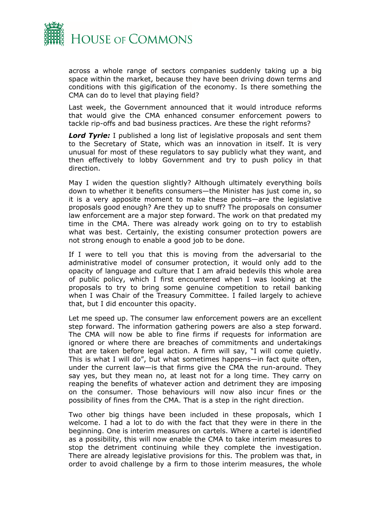

across a whole range of sectors companies suddenly taking up a big space within the market, because they have been driving down terms and conditions with this gigification of the economy. Is there something the CMA can do to level that playing field?

Last week, the Government announced that it would introduce reforms that would give the CMA enhanced consumer enforcement powers to tackle rip-offs and bad business practices. Are these the right reforms?

*Lord Tyrie:* I published a long list of legislative proposals and sent them to the Secretary of State, which was an innovation in itself. It is very unusual for most of these regulators to say publicly what they want, and then effectively to lobby Government and try to push policy in that direction.

May I widen the question slightly? Although ultimately everything boils down to whether it benefits consumers—the Minister has just come in, so it is a very apposite moment to make these points—are the legislative proposals good enough? Are they up to snuff? The proposals on consumer law enforcement are a major step forward. The work on that predated my time in the CMA. There was already work going on to try to establish what was best. Certainly, the existing consumer protection powers are not strong enough to enable a good job to be done.

If I were to tell you that this is moving from the adversarial to the administrative model of consumer protection, it would only add to the opacity of language and culture that I am afraid bedevils this whole area of public policy, which I first encountered when I was looking at the proposals to try to bring some genuine competition to retail banking when I was Chair of the Treasury Committee. I failed largely to achieve that, but I did encounter this opacity.

Let me speed up. The consumer law enforcement powers are an excellent step forward. The information gathering powers are also a step forward. The CMA will now be able to fine firms if requests for information are ignored or where there are breaches of commitments and undertakings that are taken before legal action. A firm will say, "I will come quietly. This is what I will do", but what sometimes happens—in fact quite often, under the current law—is that firms give the CMA the run-around. They say yes, but they mean no, at least not for a long time. They carry on reaping the benefits of whatever action and detriment they are imposing on the consumer. Those behaviours will now also incur fines or the possibility of fines from the CMA. That is a step in the right direction.

Two other big things have been included in these proposals, which I welcome. I had a lot to do with the fact that they were in there in the beginning. One is interim measures on cartels. Where a cartel is identified as a possibility, this will now enable the CMA to take interim measures to stop the detriment continuing while they complete the investigation. There are already legislative provisions for this. The problem was that, in order to avoid challenge by a firm to those interim measures, the whole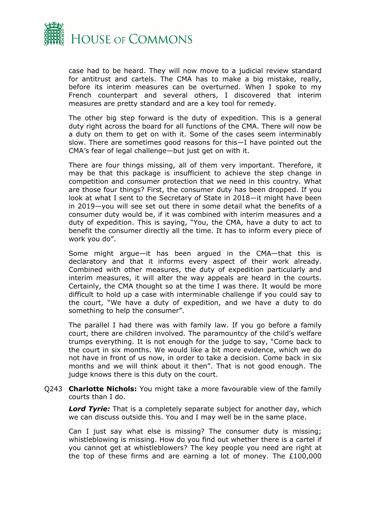

case had to be heard. They will now move to a judicial review standard for antitrust and cartels. The CMA has to make a big mistake, really, before its interim measures can be overturned. When I spoke to my French counterpart and several others, I discovered that interim measures are pretty standard and are a key tool for remedy.

The other big step forward is the duty of expedition. This is a general duty right across the board for all functions of the CMA. There will now be a duty on them to get on with it. Some of the cases seem interminably slow. There are sometimes good reasons for this—I have pointed out the CMA's fear of legal challenge—but just get on with it.

There are four things missing, all of them very important. Therefore, it may be that this package is insufficient to achieve the step change in competition and consumer protection that we need in this country. What are those four things? First, the consumer duty has been dropped. If you look at what I sent to the Secretary of State in 2018—it might have been in 2019—you will see set out there in some detail what the benefits of a consumer duty would be, if it was combined with interim measures and a duty of expedition. This is saying, "You, the CMA, have a duty to act to benefit the consumer directly all the time. It has to inform every piece of work you do".

Some might argue—it has been argued in the CMA—that this is declaratory and that it informs every aspect of their work already. Combined with other measures, the duty of expedition particularly and interim measures, it will alter the way appeals are heard in the courts. Certainly, the CMA thought so at the time I was there. It would be more difficult to hold up a case with interminable challenge if you could say to the court, "We have a duty of expedition, and we have a duty to do something to help the consumer".

The parallel I had there was with family law. If you go before a family court, there are children involved. The paramountcy of the child's welfare trumps everything. It is not enough for the judge to say, "Come back to the court in six months. We would like a bit more evidence, which we do not have in front of us now, in order to take a decision. Come back in six months and we will think about it then". That is not good enough. The judge knows there is this duty on the court.

Q243 **Charlotte Nichols:** You might take a more favourable view of the family courts than I do.

*Lord Tyrie:* That is a completely separate subject for another day, which we can discuss outside this. You and I may well be in the same place.

Can I just say what else is missing? The consumer duty is missing; whistleblowing is missing. How do you find out whether there is a cartel if you cannot get at whistleblowers? The key people you need are right at the top of these firms and are earning a lot of money. The £100,000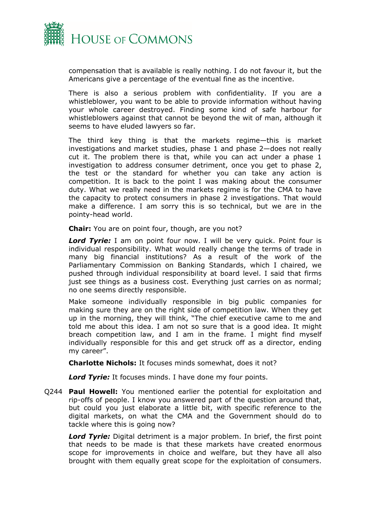

compensation that is available is really nothing. I do not favour it, but the Americans give a percentage of the eventual fine as the incentive.

There is also a serious problem with confidentiality. If you are a whistleblower, you want to be able to provide information without having your whole career destroyed. Finding some kind of safe harbour for whistleblowers against that cannot be beyond the wit of man, although it seems to have eluded lawyers so far.

The third key thing is that the markets regime—this is market investigations and market studies, phase 1 and phase 2—does not really cut it. The problem there is that, while you can act under a phase 1 investigation to address consumer detriment, once you get to phase 2, the test or the standard for whether you can take any action is competition. It is back to the point I was making about the consumer duty. What we really need in the markets regime is for the CMA to have the capacity to protect consumers in phase 2 investigations. That would make a difference. I am sorry this is so technical, but we are in the pointy-head world.

**Chair:** You are on point four, though, are you not?

*Lord Tyrie:* I am on point four now. I will be very quick. Point four is individual responsibility. What would really change the terms of trade in many big financial institutions? As a result of the work of the Parliamentary Commission on Banking Standards, which I chaired, we pushed through individual responsibility at board level. I said that firms just see things as a business cost. Everything just carries on as normal; no one seems directly responsible.

Make someone individually responsible in big public companies for making sure they are on the right side of competition law. When they get up in the morning, they will think, "The chief executive came to me and told me about this idea. I am not so sure that is a good idea. It might breach competition law, and I am in the frame. I might find myself individually responsible for this and get struck off as a director, ending my career".

**Charlotte Nichols:** It focuses minds somewhat, does it not?

*Lord Tyrie:* It focuses minds. I have done my four points.

Q244 **Paul Howell:** You mentioned earlier the potential for exploitation and rip-offs of people. I know you answered part of the question around that, but could you just elaborate a little bit, with specific reference to the digital markets, on what the CMA and the Government should do to tackle where this is going now?

*Lord Tyrie:* Digital detriment is a major problem. In brief, the first point that needs to be made is that these markets have created enormous scope for improvements in choice and welfare, but they have all also brought with them equally great scope for the exploitation of consumers.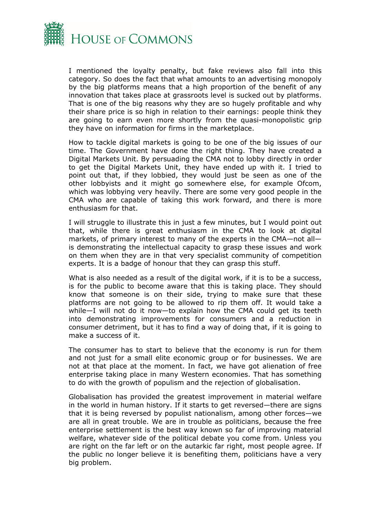

I mentioned the loyalty penalty, but fake reviews also fall into this category. So does the fact that what amounts to an advertising monopoly by the big platforms means that a high proportion of the benefit of any innovation that takes place at grassroots level is sucked out by platforms. That is one of the big reasons why they are so hugely profitable and why their share price is so high in relation to their earnings: people think they are going to earn even more shortly from the quasi-monopolistic grip they have on information for firms in the marketplace.

How to tackle digital markets is going to be one of the big issues of our time. The Government have done the right thing. They have created a Digital Markets Unit. By persuading the CMA not to lobby directly in order to get the Digital Markets Unit, they have ended up with it. I tried to point out that, if they lobbied, they would just be seen as one of the other lobbyists and it might go somewhere else, for example Ofcom, which was lobbying very heavily. There are some very good people in the CMA who are capable of taking this work forward, and there is more enthusiasm for that.

I will struggle to illustrate this in just a few minutes, but I would point out that, while there is great enthusiasm in the CMA to look at digital markets, of primary interest to many of the experts in the CMA—not all is demonstrating the intellectual capacity to grasp these issues and work on them when they are in that very specialist community of competition experts. It is a badge of honour that they can grasp this stuff.

What is also needed as a result of the digital work, if it is to be a success, is for the public to become aware that this is taking place. They should know that someone is on their side, trying to make sure that these platforms are not going to be allowed to rip them off. It would take a while—I will not do it now—to explain how the CMA could get its teeth into demonstrating improvements for consumers and a reduction in consumer detriment, but it has to find a way of doing that, if it is going to make a success of it.

The consumer has to start to believe that the economy is run for them and not just for a small elite economic group or for businesses. We are not at that place at the moment. In fact, we have got alienation of free enterprise taking place in many Western economies. That has something to do with the growth of populism and the rejection of globalisation.

Globalisation has provided the greatest improvement in material welfare in the world in human history. If it starts to get reversed—there are signs that it is being reversed by populist nationalism, among other forces—we are all in great trouble. We are in trouble as politicians, because the free enterprise settlement is the best way known so far of improving material welfare, whatever side of the political debate you come from. Unless you are right on the far left or on the autarkic far right, most people agree. If the public no longer believe it is benefiting them, politicians have a very big problem.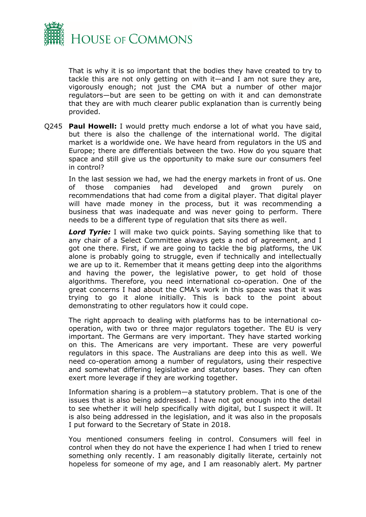

That is why it is so important that the bodies they have created to try to tackle this are not only getting on with it—and I am not sure they are, vigorously enough; not just the CMA but a number of other major regulators—but are seen to be getting on with it and can demonstrate that they are with much clearer public explanation than is currently being provided.

Q245 **Paul Howell:** I would pretty much endorse a lot of what you have said, but there is also the challenge of the international world. The digital market is a worldwide one. We have heard from regulators in the US and Europe; there are differentials between the two. How do you square that space and still give us the opportunity to make sure our consumers feel in control?

In the last session we had, we had the energy markets in front of us. One of those companies had developed and grown purely on recommendations that had come from a digital player. That digital player will have made money in the process, but it was recommending a business that was inadequate and was never going to perform. There needs to be a different type of regulation that sits there as well.

*Lord Tyrie:* I will make two quick points. Saying something like that to any chair of a Select Committee always gets a nod of agreement, and I got one there. First, if we are going to tackle the big platforms, the UK alone is probably going to struggle, even if technically and intellectually we are up to it. Remember that it means getting deep into the algorithms and having the power, the legislative power, to get hold of those algorithms. Therefore, you need international co-operation. One of the great concerns I had about the CMA's work in this space was that it was trying to go it alone initially. This is back to the point about demonstrating to other regulators how it could cope.

The right approach to dealing with platforms has to be international cooperation, with two or three major regulators together. The EU is very important. The Germans are very important. They have started working on this. The Americans are very important. These are very powerful regulators in this space. The Australians are deep into this as well. We need co-operation among a number of regulators, using their respective and somewhat differing legislative and statutory bases. They can often exert more leverage if they are working together.

Information sharing is a problem—a statutory problem. That is one of the issues that is also being addressed. I have not got enough into the detail to see whether it will help specifically with digital, but I suspect it will. It is also being addressed in the legislation, and it was also in the proposals I put forward to the Secretary of State in 2018.

You mentioned consumers feeling in control. Consumers will feel in control when they do not have the experience I had when I tried to renew something only recently. I am reasonably digitally literate, certainly not hopeless for someone of my age, and I am reasonably alert. My partner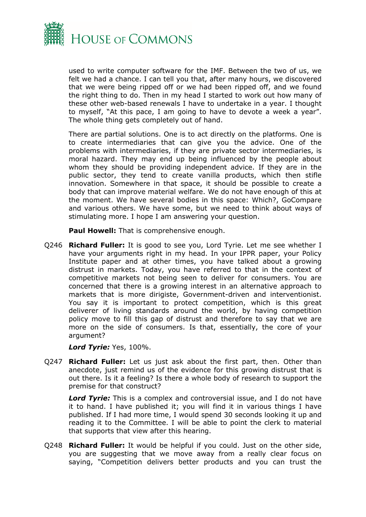

used to write computer software for the IMF. Between the two of us, we felt we had a chance. I can tell you that, after many hours, we discovered that we were being ripped off or we had been ripped off, and we found the right thing to do. Then in my head I started to work out how many of these other web-based renewals I have to undertake in a year. I thought to myself, "At this pace, I am going to have to devote a week a year". The whole thing gets completely out of hand.

There are partial solutions. One is to act directly on the platforms. One is to create intermediaries that can give you the advice. One of the problems with intermediaries, if they are private sector intermediaries, is moral hazard. They may end up being influenced by the people about whom they should be providing independent advice. If they are in the public sector, they tend to create vanilla products, which then stifle innovation. Somewhere in that space, it should be possible to create a body that can improve material welfare. We do not have enough of this at the moment. We have several bodies in this space: Which?, GoCompare and various others. We have some, but we need to think about ways of stimulating more. I hope I am answering your question.

**Paul Howell:** That is comprehensive enough.

Q246 **Richard Fuller:** It is good to see you, Lord Tyrie. Let me see whether I have your arguments right in my head. In your IPPR paper, your Policy Institute paper and at other times, you have talked about a growing distrust in markets. Today, you have referred to that in the context of competitive markets not being seen to deliver for consumers. You are concerned that there is a growing interest in an alternative approach to markets that is more dirigiste, Government-driven and interventionist. You say it is important to protect competition, which is this great deliverer of living standards around the world, by having competition policy move to fill this gap of distrust and therefore to say that we are more on the side of consumers. Is that, essentially, the core of your argument?

*Lord Tyrie:* Yes, 100%.

Q247 **Richard Fuller:** Let us just ask about the first part, then. Other than anecdote, just remind us of the evidence for this growing distrust that is out there. Is it a feeling? Is there a whole body of research to support the premise for that construct?

*Lord Tyrie:* This is a complex and controversial issue, and I do not have it to hand. I have published it; you will find it in various things I have published. If I had more time, I would spend 30 seconds looking it up and reading it to the Committee. I will be able to point the clerk to material that supports that view after this hearing.

Q248 **Richard Fuller:** It would be helpful if you could. Just on the other side, you are suggesting that we move away from a really clear focus on saying, "Competition delivers better products and you can trust the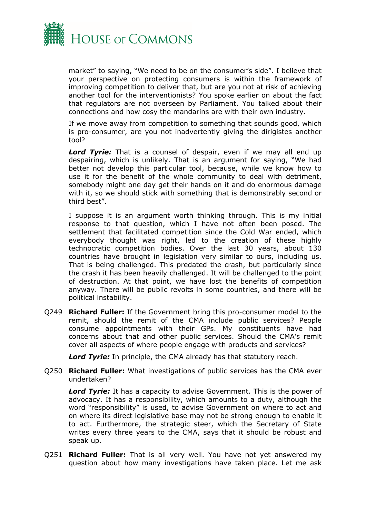

market" to saying, "We need to be on the consumer's side". I believe that your perspective on protecting consumers is within the framework of improving competition to deliver that, but are you not at risk of achieving another tool for the interventionists? You spoke earlier on about the fact that regulators are not overseen by Parliament. You talked about their connections and how cosy the mandarins are with their own industry.

If we move away from competition to something that sounds good, which is pro-consumer, are you not inadvertently giving the dirigistes another tool?

*Lord Tyrie:* That is a counsel of despair, even if we may all end up despairing, which is unlikely. That is an argument for saying, "We had better not develop this particular tool, because, while we know how to use it for the benefit of the whole community to deal with detriment, somebody might one day get their hands on it and do enormous damage with it, so we should stick with something that is demonstrably second or third best".

I suppose it is an argument worth thinking through. This is my initial response to that question, which I have not often been posed. The settlement that facilitated competition since the Cold War ended, which everybody thought was right, led to the creation of these highly technocratic competition bodies. Over the last 30 years, about 130 countries have brought in legislation very similar to ours, including us. That is being challenged. This predated the crash, but particularly since the crash it has been heavily challenged. It will be challenged to the point of destruction. At that point, we have lost the benefits of competition anyway. There will be public revolts in some countries, and there will be political instability.

Q249 **Richard Fuller:** If the Government bring this pro-consumer model to the remit, should the remit of the CMA include public services? People consume appointments with their GPs. My constituents have had concerns about that and other public services. Should the CMA's remit cover all aspects of where people engage with products and services?

*Lord Tyrie:* In principle, the CMA already has that statutory reach.

Q250 **Richard Fuller:** What investigations of public services has the CMA ever undertaken?

*Lord Tyrie:* It has a capacity to advise Government. This is the power of advocacy. It has a responsibility, which amounts to a duty, although the word "responsibility" is used, to advise Government on where to act and on where its direct legislative base may not be strong enough to enable it to act. Furthermore, the strategic steer, which the Secretary of State writes every three years to the CMA, says that it should be robust and speak up.

Q251 **Richard Fuller:** That is all very well. You have not yet answered my question about how many investigations have taken place. Let me ask